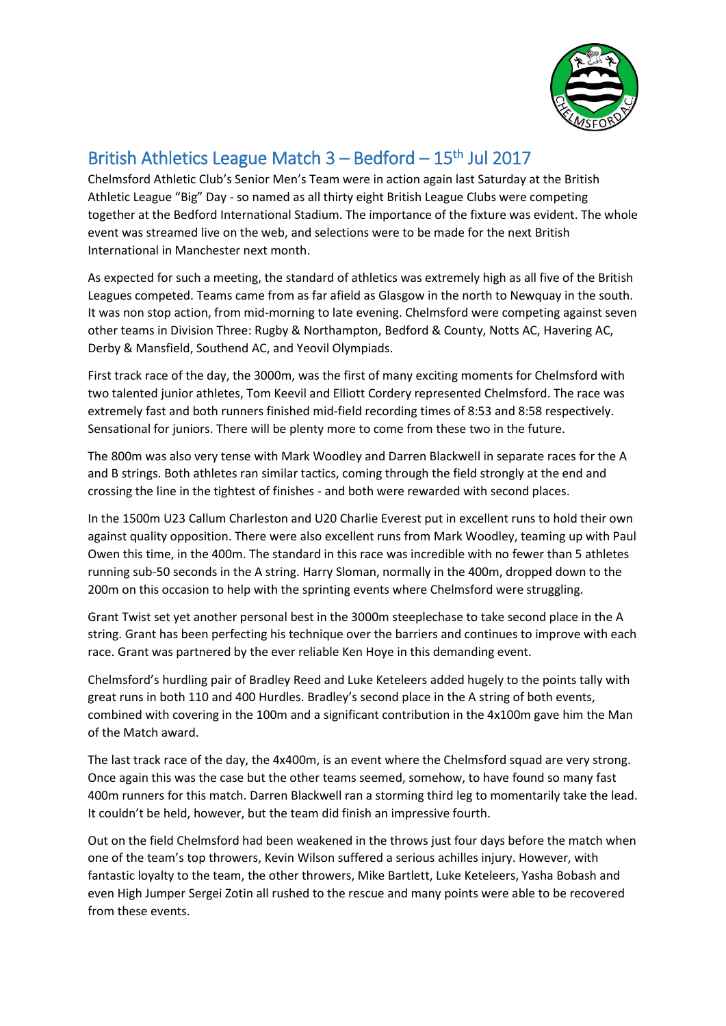

## British Athletics League Match  $3 -$  Bedford  $-15$ <sup>th</sup> Jul 2017

Chelmsford Athletic Club's Senior Men's Team were in action again last Saturday at the British Athletic League "Big" Day - so named as all thirty eight British League Clubs were competing together at the Bedford International Stadium. The importance of the fixture was evident. The whole event was streamed live on the web, and selections were to be made for the next British International in Manchester next month.

As expected for such a meeting, the standard of athletics was extremely high as all five of the British Leagues competed. Teams came from as far afield as Glasgow in the north to Newquay in the south. It was non stop action, from mid-morning to late evening. Chelmsford were competing against seven other teams in Division Three: Rugby & Northampton, Bedford & County, Notts AC, Havering AC, Derby & Mansfield, Southend AC, and Yeovil Olympiads.

First track race of the day, the 3000m, was the first of many exciting moments for Chelmsford with two talented junior athletes, Tom Keevil and Elliott Cordery represented Chelmsford. The race was extremely fast and both runners finished mid-field recording times of 8:53 and 8:58 respectively. Sensational for juniors. There will be plenty more to come from these two in the future.

The 800m was also very tense with Mark Woodley and Darren Blackwell in separate races for the A and B strings. Both athletes ran similar tactics, coming through the field strongly at the end and crossing the line in the tightest of finishes - and both were rewarded with second places.

In the 1500m U23 Callum Charleston and U20 Charlie Everest put in excellent runs to hold their own against quality opposition. There were also excellent runs from Mark Woodley, teaming up with Paul Owen this time, in the 400m. The standard in this race was incredible with no fewer than 5 athletes running sub-50 seconds in the A string. Harry Sloman, normally in the 400m, dropped down to the 200m on this occasion to help with the sprinting events where Chelmsford were struggling.

Grant Twist set yet another personal best in the 3000m steeplechase to take second place in the A string. Grant has been perfecting his technique over the barriers and continues to improve with each race. Grant was partnered by the ever reliable Ken Hoye in this demanding event.

Chelmsford's hurdling pair of Bradley Reed and Luke Keteleers added hugely to the points tally with great runs in both 110 and 400 Hurdles. Bradley's second place in the A string of both events, combined with covering in the 100m and a significant contribution in the 4x100m gave him the Man of the Match award.

The last track race of the day, the 4x400m, is an event where the Chelmsford squad are very strong. Once again this was the case but the other teams seemed, somehow, to have found so many fast 400m runners for this match. Darren Blackwell ran a storming third leg to momentarily take the lead. It couldn't be held, however, but the team did finish an impressive fourth.

Out on the field Chelmsford had been weakened in the throws just four days before the match when one of the team's top throwers, Kevin Wilson suffered a serious achilles injury. However, with fantastic loyalty to the team, the other throwers, Mike Bartlett, Luke Keteleers, Yasha Bobash and even High Jumper Sergei Zotin all rushed to the rescue and many points were able to be recovered from these events.